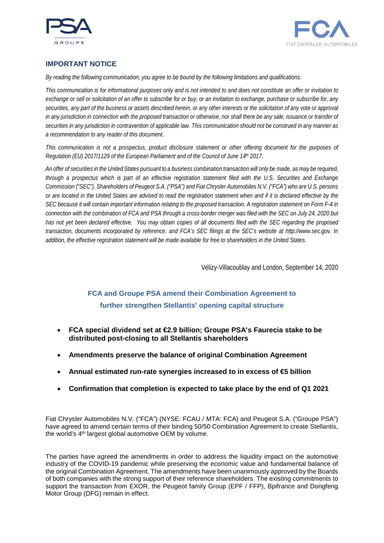



## **IMPORTANT NOTICE**

*By reading the following communication, you agree to be bound by the following limitations and qualifications:*

*This communication is for informational purposes only and is not intended to and does not constitute an offer or invitation to exchange or sell or solicitation of an offer to subscribe for or buy, or an invitation to exchange, purchase or subscribe for, any securities, any part of the business or assets described herein, or any other interests or the solicitation of any vote or approval*  in any jurisdiction in connection with the proposed transaction or otherwise, nor shall there be any sale, issuance or transfer of *securities in any jurisdiction in contravention of applicable law. This communication should not be construed in any manner as a recommendation to any reader of this document.*

*This communication is not a prospectus, product disclosure statement or other offering document for the purposes of Regulation (EU) 2017/1129 of the European Parliament and of the Council of June 14th 2017.*

*An offer of securities in the United States pursuant to a business combination transaction will only be made, as may be required, through a prospectus which is part of an effective registration statement filed with the U.S. Securities and Exchange Commission ("SEC"). Shareholders of Peugeot S.A. ("PSA") and Fiat Chrysler Automobiles N.V. ("FCA") who are U.S. persons or are located in the United States are advised to read the registration statement when and if it is declared effective by the SEC because it will contain important information relating to the proposed transaction. A registration statement on Form F-4 in connection with the combination of FCA and PSA through a cross-border merger was filed with the SEC on July 24, 2020 but has not yet been declared effective. You may obtain copies of all documents filed with the SEC regarding the proposed transaction, documents incorporated by reference, and FCA's SEC filings at the SEC's website at http://www.sec.gov. In addition, the effective registration statement will be made available for free to shareholders in the United States.*

Vélizy-Villacoublay and London, September 14, 2020

# **FCA and Groupe PSA amend their Combination Agreement to further strengthen Stellantis' opening capital structure**

- **FCA special dividend set at €2.9 billion; Groupe PSA's Faurecia stake to be distributed post-closing to all Stellantis shareholders**
- **Amendments preserve the balance of original Combination Agreement**
- **Annual estimated run-rate synergies increased to in excess of €5 billion**
- **Confirmation that completion is expected to take place by the end of Q1 2021**

Fiat Chrysler Automobiles N.V. ("FCA") (NYSE: FCAU / MTA: FCA) and Peugeot S.A. ("Groupe PSA") have agreed to amend certain terms of their binding 50/50 Combination Agreement to create Stellantis, the world's 4<sup>th</sup> largest global automotive OEM by volume.

The parties have agreed the amendments in order to address the liquidity impact on the automotive industry of the COVID-19 pandemic while preserving the economic value and fundamental balance of the original Combination Agreement. The amendments have been unanimously approved by the Boards of both companies with the strong support of their reference shareholders. The existing commitments to support the transaction from EXOR, the Peugeot family Group (EPF / FFP), Bpifrance and Dongfeng Motor Group (DFG) remain in effect.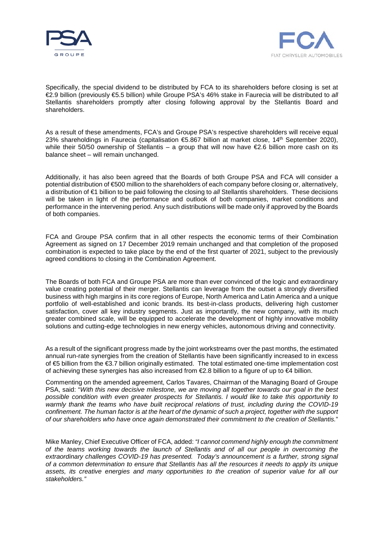



Specifically, the special dividend to be distributed by FCA to its shareholders before closing is set at €2.9 billion (previously €5.5 billion) while Groupe PSA's 46% stake in Faurecia will be distributed to *all* Stellantis shareholders promptly after closing following approval by the Stellantis Board and shareholders.

As a result of these amendments, FCA's and Groupe PSA's respective shareholders will receive equal 23% shareholdings in Faurecia (capitalisation €5.867 billion at market close, 14<sup>th</sup> September 2020), while their 50/50 ownership of Stellantis – a group that will now have €2.6 billion more cash on its balance sheet – will remain unchanged.

Additionally, it has also been agreed that the Boards of both Groupe PSA and FCA will consider a potential distribution of €500 million to the shareholders of each company before closing or, alternatively, a distribution of €1 billion to be paid following the closing to *all* Stellantis shareholders. These decisions will be taken in light of the performance and outlook of both companies, market conditions and performance in the intervening period. Any such distributions will be made only if approved by the Boards of both companies.

FCA and Groupe PSA confirm that in all other respects the economic terms of their Combination Agreement as signed on 17 December 2019 remain unchanged and that completion of the proposed combination is expected to take place by the end of the first quarter of 2021, subject to the previously agreed conditions to closing in the Combination Agreement.

The Boards of both FCA and Groupe PSA are more than ever convinced of the logic and extraordinary value creating potential of their merger. Stellantis can leverage from the outset a strongly diversified business with high margins in its core regions of Europe, North America and Latin America and a unique portfolio of well-established and iconic brands. Its best-in-class products, delivering high customer satisfaction, cover all key industry segments. Just as importantly, the new company, with its much greater combined scale, will be equipped to accelerate the development of highly innovative mobility solutions and cutting-edge technologies in new energy vehicles, autonomous driving and connectivity.

As a result of the significant progress made by the joint workstreams over the past months, the estimated annual run-rate synergies from the creation of Stellantis have been significantly increased to in excess of €5 billion from the €3.7 billion originally estimated. The total estimated one-time implementation cost of achieving these synergies has also increased from €2.8 billion to a figure of up to €4 billion.

Commenting on the amended agreement, Carlos Tavares, Chairman of the Managing Board of Groupe PSA, said: "*With this new decisive milestone, we are moving all together towards our goal in the best possible condition with even greater prospects for Stellantis. I would like to take this opportunity to warmly thank the teams who have built reciprocal relations of trust, including during the COVID-19 confinement. The human factor is at the heart of the dynamic of such a project, together with the support of our shareholders who have once again demonstrated their commitment to the creation of Stellantis.*"

Mike Manley, Chief Executive Officer of FCA, added: *"I cannot commend highly enough the commitment of the teams working towards the launch of Stellantis and of all our people in overcoming the extraordinary challenges COVID-19 has presented. Today's announcement is a further, strong signal of a common determination to ensure that Stellantis has all the resources it needs to apply its unique assets, its creative energies and many opportunities to the creation of superior value for all our stakeholders."*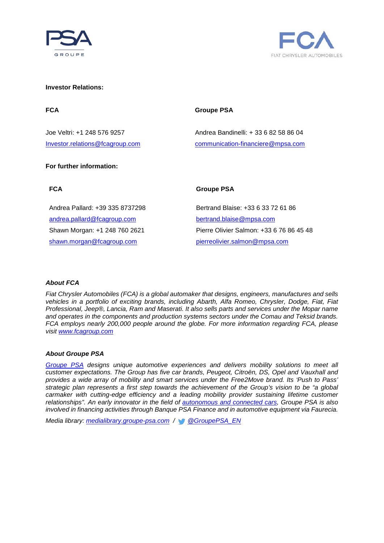



#### **Investor Relations:**

### FCA Groupe PSA

## Joe Veltri: +1 248 576 9257 Andrea Bandinelli: + 33 6 82 58 86 04 [Investor.relations@fcagroup.com](mailto:Investor.relations@fcagroup.com) [communication-financiere@mpsa.com](mailto:communication-financiere@mpsa.com)

### **For further information:**

**FCA Groupe PSA** 

Andrea Pallard: +39 335 8737298 [andrea.pallard@fcagroup.com](mailto:andrea.pallard@fcagroup.com) Shawn Morgan: +1 248 760 2621 [shawn.morgan@fcagroup.com](mailto:shawn.morgan@fcagroup.com)

Bertrand Blaise: +33 6 33 72 61 86 bertrand.blaise@mpsa.com Pierre Olivier Salmon: +33 6 76 86 45 48 [pierreolivier.salmon@mpsa.com](mailto:pierreolivier.salmon@mpsa.com)

### *About FCA*

*Fiat Chrysler Automobiles (FCA) is a global automaker that designs, engineers, manufactures and sells vehicles in a portfolio of exciting brands, including Abarth, Alfa Romeo, Chrysler, Dodge, Fiat, Fiat Professional, Jeep®, Lancia, Ram and Maserati. It also sells parts and services under the Mopar name and operates in the components and production systems sectors under the Comau and Teksid brands. FCA employs nearly 200,000 people around the globe. For more information regarding FCA, please visit [www.fcagroup.com](https://www.fcagroup.com/en-US/Pages/home.aspx)*

#### *About Groupe PSA*

*[Groupe PSA](https://www.groupe-psa.com/fr) designs unique automotive experiences and delivers mobility solutions to meet all customer expectations. The Group has five car brands, Peugeot, Citroën, DS, Opel and Vauxhall and*  provides a wide array of mobility and smart services under the Free2Move brand. Its 'Push to Pass' *strategic plan represents a first step towards the achievement of the Group's vision to be "a global carmaker with cutting-edge efficiency and a leading mobility provider sustaining lifetime customer relationships". An early innovator in the field of [autonomous and connected cars,](https://www.groupe-psa.com/en/story/en-route-vers-la-voiture-autonome/) Groupe PSA is also involved in financing activities through Banque PSA Finance and in automotive equipment via Faurecia.*

*Media library: [medialibrary.groupe-psa.com](http://medialibrary.groupe-psa.com/) / [@GroupePSA\\_EN](https://twitter.com/GroupePSA_EN)*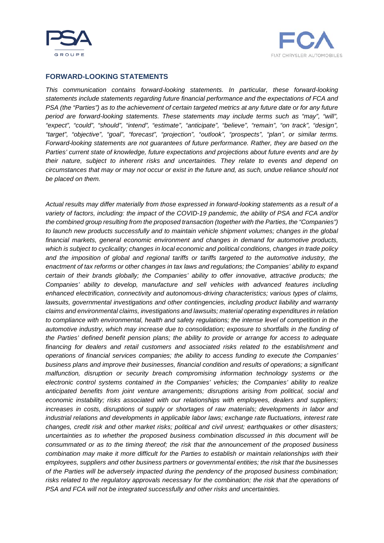



## **FORWARD-LOOKING STATEMENTS**

*This communication contains forward-looking statements. In particular, these forward-looking statements include statements regarding future financial performance and the expectations of FCA and PSA (the "Parties") as to the achievement of certain targeted metrics at any future date or for any future period are forward-looking statements. These statements may include terms such as "may", "will", "expect", "could", "should", "intend", "estimate", "anticipate", "believe", "remain", "on track", "design", "target", "objective", "goal", "forecast", "projection", "outlook", "prospects", "plan", or similar terms. Forward-looking statements are not guarantees of future performance. Rather, they are based on the Parties' current state of knowledge, future expectations and projections about future events and are by their nature, subject to inherent risks and uncertainties. They relate to events and depend on circumstances that may or may not occur or exist in the future and, as such, undue reliance should not be placed on them.* 

*Actual results may differ materially from those expressed in forward-looking statements as a result of a variety of factors, including: the impact of the COVID-19 pandemic, the ability of PSA and FCA and/or the combined group resulting from the proposed transaction (together with the Parties, the "Companies") to launch new products successfully and to maintain vehicle shipment volumes; changes in the global financial markets, general economic environment and changes in demand for automotive products, which is subject to cyclicality; changes in local economic and political conditions, changes in trade policy and the imposition of global and regional tariffs or tariffs targeted to the automotive industry, the enactment of tax reforms or other changes in tax laws and regulations; the Companies' ability to expand certain of their brands globally; the Companies' ability to offer innovative, attractive products; the Companies' ability to develop, manufacture and sell vehicles with advanced features including enhanced electrification, connectivity and autonomous-driving characteristics; various types of claims, lawsuits, governmental investigations and other contingencies, including product liability and warranty claims and environmental claims, investigations and lawsuits; material operating expenditures in relation to compliance with environmental, health and safety regulations; the intense level of competition in the automotive industry, which may increase due to consolidation; exposure to shortfalls in the funding of the Parties' defined benefit pension plans; the ability to provide or arrange for access to adequate financing for dealers and retail customers and associated risks related to the establishment and operations of financial services companies; the ability to access funding to execute the Companies' business plans and improve their businesses, financial condition and results of operations; a significant malfunction, disruption or security breach compromising information technology systems or the electronic control systems contained in the Companies' vehicles; the Companies' ability to realize anticipated benefits from joint venture arrangements; disruptions arising from political, social and economic instability; risks associated with our relationships with employees, dealers and suppliers; increases in costs, disruptions of supply or shortages of raw materials; developments in labor and industrial relations and developments in applicable labor laws; exchange rate fluctuations, interest rate changes, credit risk and other market risks; political and civil unrest; earthquakes or other disasters; uncertainties as to whether the proposed business combination discussed in this document will be consummated or as to the timing thereof; the risk that the announcement of the proposed business combination may make it more difficult for the Parties to establish or maintain relationships with their employees, suppliers and other business partners or governmental entities; the risk that the businesses of the Parties will be adversely impacted during the pendency of the proposed business combination; risks related to the regulatory approvals necessary for the combination; the risk that the operations of PSA and FCA will not be integrated successfully and other risks and uncertainties.*